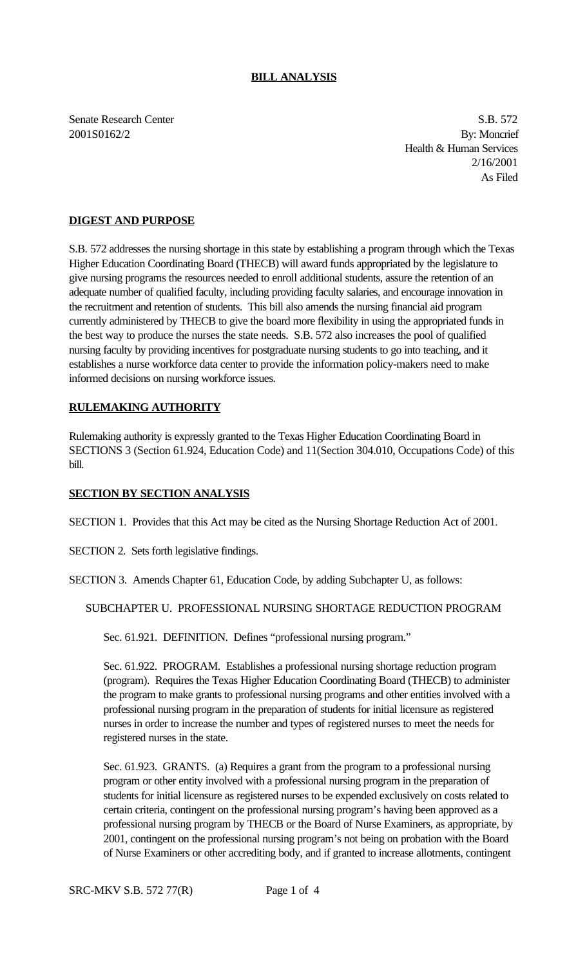## **BILL ANALYSIS**

Senate Research Center S.B. 572

2001S0162/2 By: Moncrief Health & Human Services 2/16/2001 As Filed

## **DIGEST AND PURPOSE**

S.B. 572 addresses the nursing shortage in this state by establishing a program through which the Texas Higher Education Coordinating Board (THECB) will award funds appropriated by the legislature to give nursing programs the resources needed to enroll additional students, assure the retention of an adequate number of qualified faculty, including providing faculty salaries, and encourage innovation in the recruitment and retention of students. This bill also amends the nursing financial aid program currently administered by THECB to give the board more flexibility in using the appropriated funds in the best way to produce the nurses the state needs. S.B. 572 also increases the pool of qualified nursing faculty by providing incentives for postgraduate nursing students to go into teaching, and it establishes a nurse workforce data center to provide the information policy-makers need to make informed decisions on nursing workforce issues.

## **RULEMAKING AUTHORITY**

Rulemaking authority is expressly granted to the Texas Higher Education Coordinating Board in SECTIONS 3 (Section 61.924, Education Code) and 11(Section 304.010, Occupations Code) of this bill.

## **SECTION BY SECTION ANALYSIS**

SECTION 1. Provides that this Act may be cited as the Nursing Shortage Reduction Act of 2001.

SECTION 2. Sets forth legislative findings.

SECTION 3. Amends Chapter 61, Education Code, by adding Subchapter U, as follows:

SUBCHAPTER U. PROFESSIONAL NURSING SHORTAGE REDUCTION PROGRAM

Sec. 61.921. DEFINITION. Defines "professional nursing program."

Sec. 61.922. PROGRAM. Establishes a professional nursing shortage reduction program (program). Requires the Texas Higher Education Coordinating Board (THECB) to administer the program to make grants to professional nursing programs and other entities involved with a professional nursing program in the preparation of students for initial licensure as registered nurses in order to increase the number and types of registered nurses to meet the needs for registered nurses in the state.

Sec. 61.923. GRANTS. (a) Requires a grant from the program to a professional nursing program or other entity involved with a professional nursing program in the preparation of students for initial licensure as registered nurses to be expended exclusively on costs related to certain criteria, contingent on the professional nursing program's having been approved as a professional nursing program by THECB or the Board of Nurse Examiners, as appropriate, by 2001, contingent on the professional nursing program's not being on probation with the Board of Nurse Examiners or other accrediting body, and if granted to increase allotments, contingent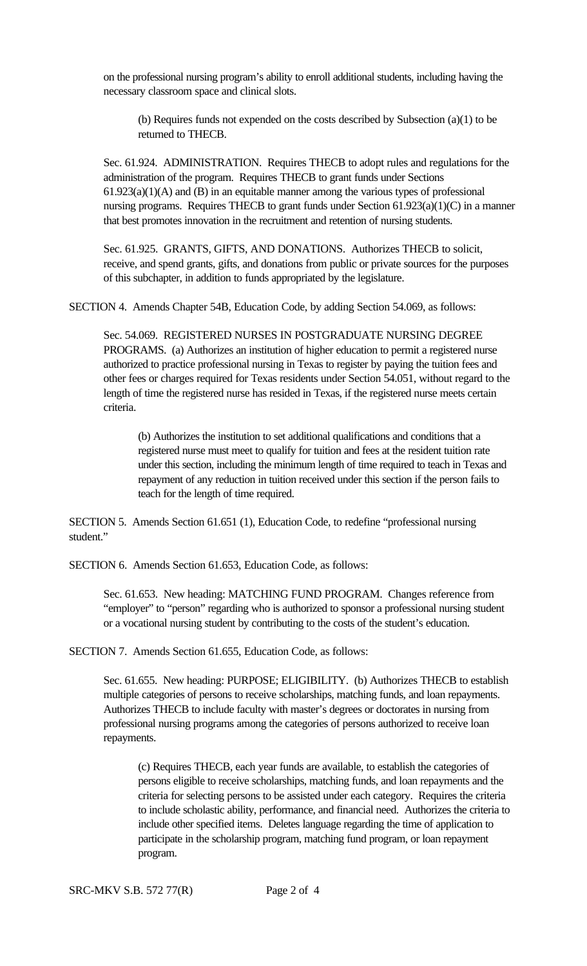on the professional nursing program's ability to enroll additional students, including having the necessary classroom space and clinical slots.

(b) Requires funds not expended on the costs described by Subsection (a)(1) to be returned to THECB.

Sec. 61.924. ADMINISTRATION. Requires THECB to adopt rules and regulations for the administration of the program. Requires THECB to grant funds under Sections  $61.923(a)(1)(A)$  and  $(B)$  in an equitable manner among the various types of professional nursing programs. Requires THECB to grant funds under Section 61.923(a)(1)(C) in a manner that best promotes innovation in the recruitment and retention of nursing students.

Sec. 61.925. GRANTS, GIFTS, AND DONATIONS. Authorizes THECB to solicit, receive, and spend grants, gifts, and donations from public or private sources for the purposes of this subchapter, in addition to funds appropriated by the legislature.

SECTION 4. Amends Chapter 54B, Education Code, by adding Section 54.069, as follows:

Sec. 54.069. REGISTERED NURSES IN POSTGRADUATE NURSING DEGREE PROGRAMS. (a) Authorizes an institution of higher education to permit a registered nurse authorized to practice professional nursing in Texas to register by paying the tuition fees and other fees or charges required for Texas residents under Section 54.051, without regard to the length of time the registered nurse has resided in Texas, if the registered nurse meets certain criteria.

(b) Authorizes the institution to set additional qualifications and conditions that a registered nurse must meet to qualify for tuition and fees at the resident tuition rate under this section, including the minimum length of time required to teach in Texas and repayment of any reduction in tuition received under this section if the person fails to teach for the length of time required.

SECTION 5. Amends Section 61.651 (1), Education Code, to redefine "professional nursing student."

SECTION 6. Amends Section 61.653, Education Code, as follows:

Sec. 61.653. New heading: MATCHING FUND PROGRAM. Changes reference from "employer" to "person" regarding who is authorized to sponsor a professional nursing student or a vocational nursing student by contributing to the costs of the student's education.

SECTION 7. Amends Section 61.655, Education Code, as follows:

Sec. 61.655. New heading: PURPOSE; ELIGIBILITY. (b) Authorizes THECB to establish multiple categories of persons to receive scholarships, matching funds, and loan repayments. Authorizes THECB to include faculty with master's degrees or doctorates in nursing from professional nursing programs among the categories of persons authorized to receive loan repayments.

(c) Requires THECB, each year funds are available, to establish the categories of persons eligible to receive scholarships, matching funds, and loan repayments and the criteria for selecting persons to be assisted under each category. Requires the criteria to include scholastic ability, performance, and financial need. Authorizes the criteria to include other specified items. Deletes language regarding the time of application to participate in the scholarship program, matching fund program, or loan repayment program.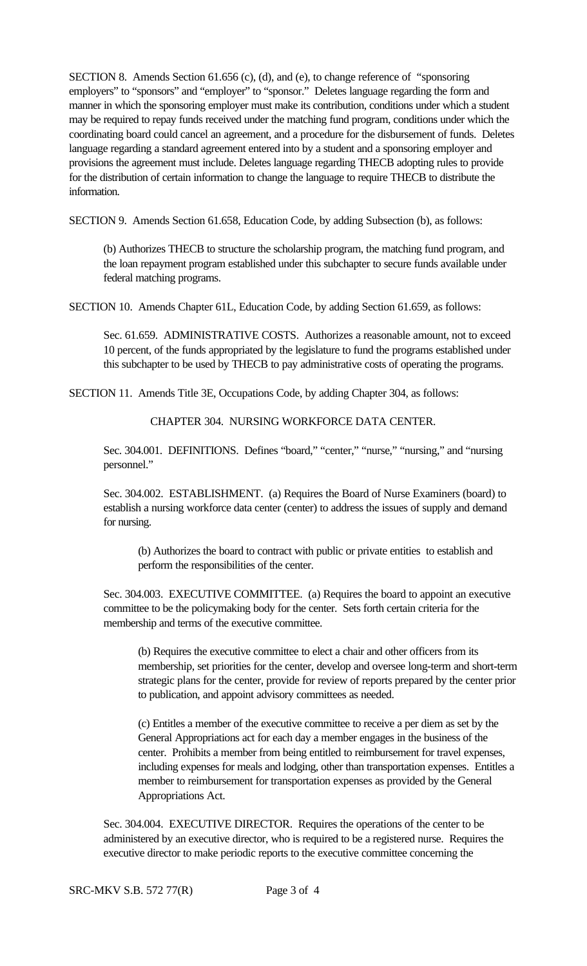SECTION 8. Amends Section 61.656 (c), (d), and (e), to change reference of "sponsoring employers" to "sponsors" and "employer" to "sponsor." Deletes language regarding the form and manner in which the sponsoring employer must make its contribution, conditions under which a student may be required to repay funds received under the matching fund program, conditions under which the coordinating board could cancel an agreement, and a procedure for the disbursement of funds. Deletes language regarding a standard agreement entered into by a student and a sponsoring employer and provisions the agreement must include. Deletes language regarding THECB adopting rules to provide for the distribution of certain information to change the language to require THECB to distribute the information.

SECTION 9. Amends Section 61.658, Education Code, by adding Subsection (b), as follows:

(b) Authorizes THECB to structure the scholarship program, the matching fund program, and the loan repayment program established under this subchapter to secure funds available under federal matching programs.

SECTION 10. Amends Chapter 61L, Education Code, by adding Section 61.659, as follows:

Sec. 61.659. ADMINISTRATIVE COSTS. Authorizes a reasonable amount, not to exceed 10 percent, of the funds appropriated by the legislature to fund the programs established under this subchapter to be used by THECB to pay administrative costs of operating the programs.

SECTION 11. Amends Title 3E, Occupations Code, by adding Chapter 304, as follows:

CHAPTER 304. NURSING WORKFORCE DATA CENTER.

Sec. 304.001. DEFINITIONS. Defines "board," "center," "nurse," "nursing," and "nursing personnel."

Sec. 304.002. ESTABLISHMENT. (a) Requires the Board of Nurse Examiners (board) to establish a nursing workforce data center (center) to address the issues of supply and demand for nursing.

(b) Authorizes the board to contract with public or private entities to establish and perform the responsibilities of the center.

Sec. 304.003. EXECUTIVE COMMITTEE. (a) Requires the board to appoint an executive committee to be the policymaking body for the center. Sets forth certain criteria for the membership and terms of the executive committee.

(b) Requires the executive committee to elect a chair and other officers from its membership, set priorities for the center, develop and oversee long-term and short-term strategic plans for the center, provide for review of reports prepared by the center prior to publication, and appoint advisory committees as needed.

(c) Entitles a member of the executive committee to receive a per diem as set by the General Appropriations act for each day a member engages in the business of the center. Prohibits a member from being entitled to reimbursement for travel expenses, including expenses for meals and lodging, other than transportation expenses. Entitles a member to reimbursement for transportation expenses as provided by the General Appropriations Act.

Sec. 304.004. EXECUTIVE DIRECTOR. Requires the operations of the center to be administered by an executive director, who is required to be a registered nurse. Requires the executive director to make periodic reports to the executive committee concerning the